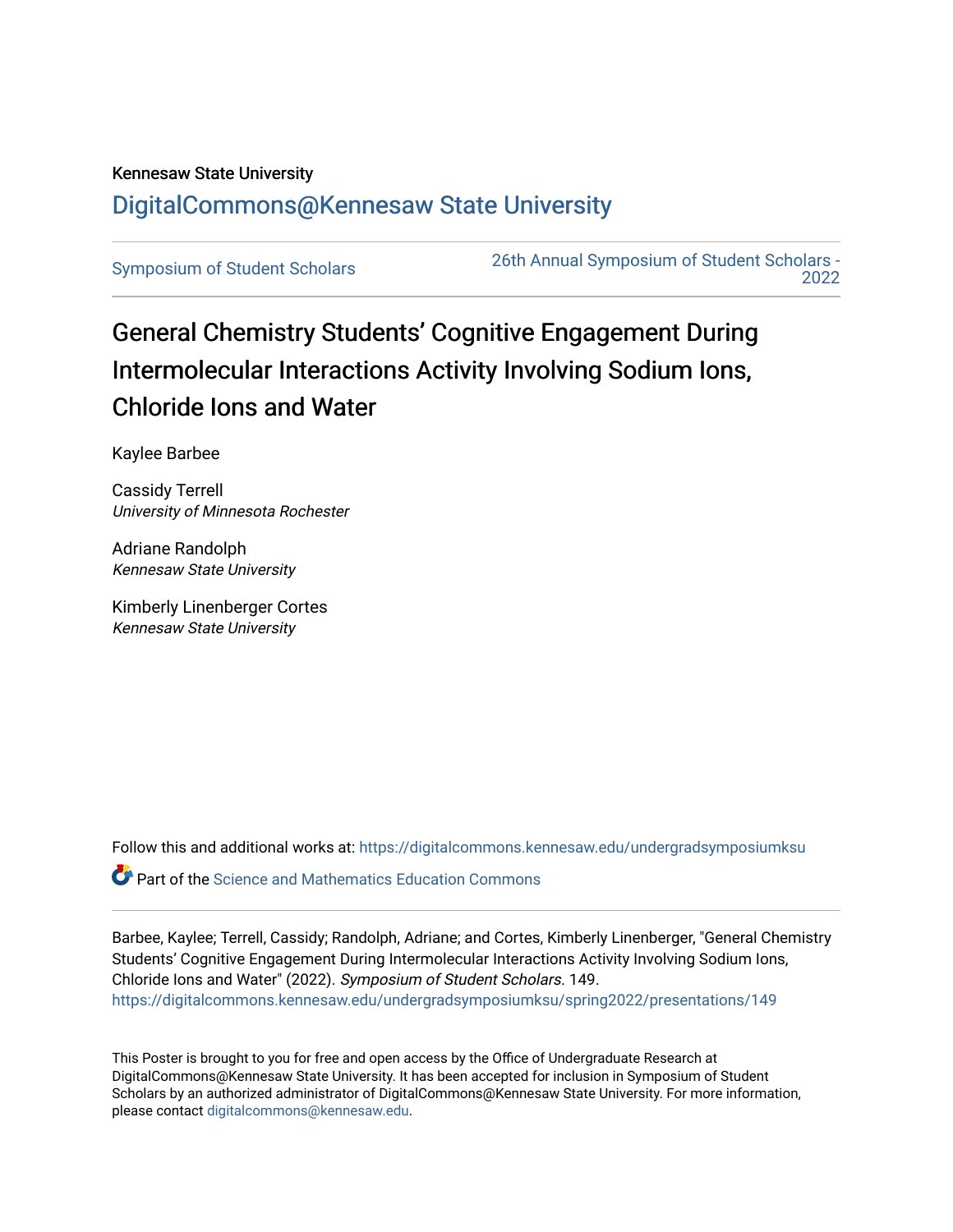## Kennesaw State University [DigitalCommons@Kennesaw State University](https://digitalcommons.kennesaw.edu/)

[Symposium of Student Scholars](https://digitalcommons.kennesaw.edu/undergradsymposiumksu) [26th Annual Symposium of Student Scholars -](https://digitalcommons.kennesaw.edu/undergradsymposiumksu/spring2022)  [2022](https://digitalcommons.kennesaw.edu/undergradsymposiumksu/spring2022) 

## General Chemistry Students' Cognitive Engagement During Intermolecular Interactions Activity Involving Sodium Ions, Chloride Ions and Water

Kaylee Barbee

Cassidy Terrell University of Minnesota Rochester

Adriane Randolph Kennesaw State University

Kimberly Linenberger Cortes Kennesaw State University

Follow this and additional works at: [https://digitalcommons.kennesaw.edu/undergradsymposiumksu](https://digitalcommons.kennesaw.edu/undergradsymposiumksu?utm_source=digitalcommons.kennesaw.edu%2Fundergradsymposiumksu%2Fspring2022%2Fpresentations%2F149&utm_medium=PDF&utm_campaign=PDFCoverPages) 

Part of the [Science and Mathematics Education Commons](http://network.bepress.com/hgg/discipline/800?utm_source=digitalcommons.kennesaw.edu%2Fundergradsymposiumksu%2Fspring2022%2Fpresentations%2F149&utm_medium=PDF&utm_campaign=PDFCoverPages) 

Barbee, Kaylee; Terrell, Cassidy; Randolph, Adriane; and Cortes, Kimberly Linenberger, "General Chemistry Students' Cognitive Engagement During Intermolecular Interactions Activity Involving Sodium Ions, Chloride Ions and Water" (2022). Symposium of Student Scholars. 149. [https://digitalcommons.kennesaw.edu/undergradsymposiumksu/spring2022/presentations/149](https://digitalcommons.kennesaw.edu/undergradsymposiumksu/spring2022/presentations/149?utm_source=digitalcommons.kennesaw.edu%2Fundergradsymposiumksu%2Fspring2022%2Fpresentations%2F149&utm_medium=PDF&utm_campaign=PDFCoverPages)

This Poster is brought to you for free and open access by the Office of Undergraduate Research at DigitalCommons@Kennesaw State University. It has been accepted for inclusion in Symposium of Student Scholars by an authorized administrator of DigitalCommons@Kennesaw State University. For more information, please contact [digitalcommons@kennesaw.edu.](mailto:digitalcommons@kennesaw.edu)